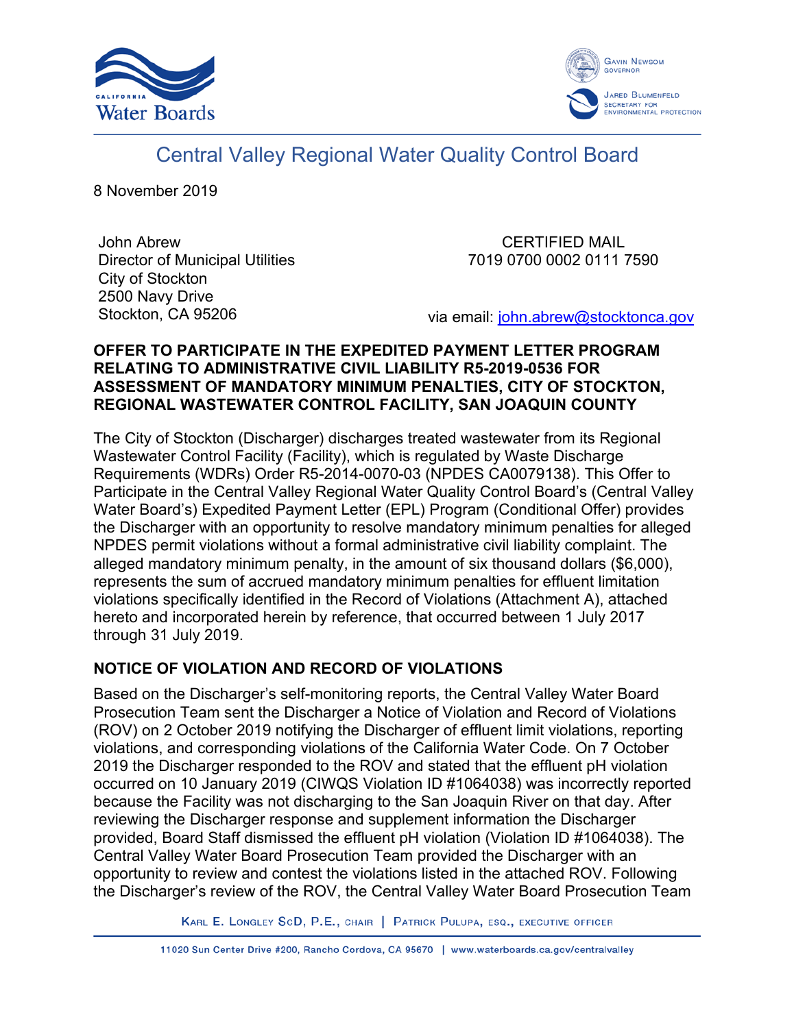



# Central Valley Regional Water Quality Control Board

8 November 2019

John Abrew Director of Municipal Utilities City of Stockton 2500 Navy Drive Stockton, CA 95206

CERTIFIED MAIL 7019 0700 0002 0111 7590

via email: [john.abrew@stocktonca.gov](mailto:john.abrew@stocktonca.gov)

## **OFFER TO PARTICIPATE IN THE EXPEDITED PAYMENT LETTER PROGRAM RELATING TO ADMINISTRATIVE CIVIL LIABILITY R5-2019-0536 FOR ASSESSMENT OF MANDATORY MINIMUM PENALTIES, CITY OF STOCKTON, REGIONAL WASTEWATER CONTROL FACILITY, SAN JOAQUIN COUNTY**

The City of Stockton (Discharger) discharges treated wastewater from its Regional Wastewater Control Facility (Facility), which is regulated by Waste Discharge Requirements (WDRs) Order R5-2014-0070-03 (NPDES CA0079138). This Offer to Participate in the Central Valley Regional Water Quality Control Board's (Central Valley Water Board's) Expedited Payment Letter (EPL) Program (Conditional Offer) provides the Discharger with an opportunity to resolve mandatory minimum penalties for alleged NPDES permit violations without a formal administrative civil liability complaint. The alleged mandatory minimum penalty, in the amount of six thousand dollars (\$6,000), represents the sum of accrued mandatory minimum penalties for effluent limitation violations specifically identified in the Record of Violations (Attachment A), attached hereto and incorporated herein by reference, that occurred between 1 July 2017 through 31 July 2019.

## **NOTICE OF VIOLATION AND RECORD OF VIOLATIONS**

Based on the Discharger's self-monitoring reports, the Central Valley Water Board Prosecution Team sent the Discharger a Notice of Violation and Record of Violations (ROV) on 2 October 2019 notifying the Discharger of effluent limit violations, reporting violations, and corresponding violations of the California Water Code. On 7 October 2019 the Discharger responded to the ROV and stated that the effluent pH violation occurred on 10 January 2019 (CIWQS Violation ID #1064038) was incorrectly reported because the Facility was not discharging to the San Joaquin River on that day. After reviewing the Discharger response and supplement information the Discharger provided, Board Staff dismissed the effluent pH violation (Violation ID #1064038). The Central Valley Water Board Prosecution Team provided the Discharger with an opportunity to review and contest the violations listed in the attached ROV. Following the Discharger's review of the ROV, the Central Valley Water Board Prosecution Team

KARL E. LONGLEY SCD, P.E., CHAIR | PATRICK PULUPA, ESQ., EXECUTIVE OFFICER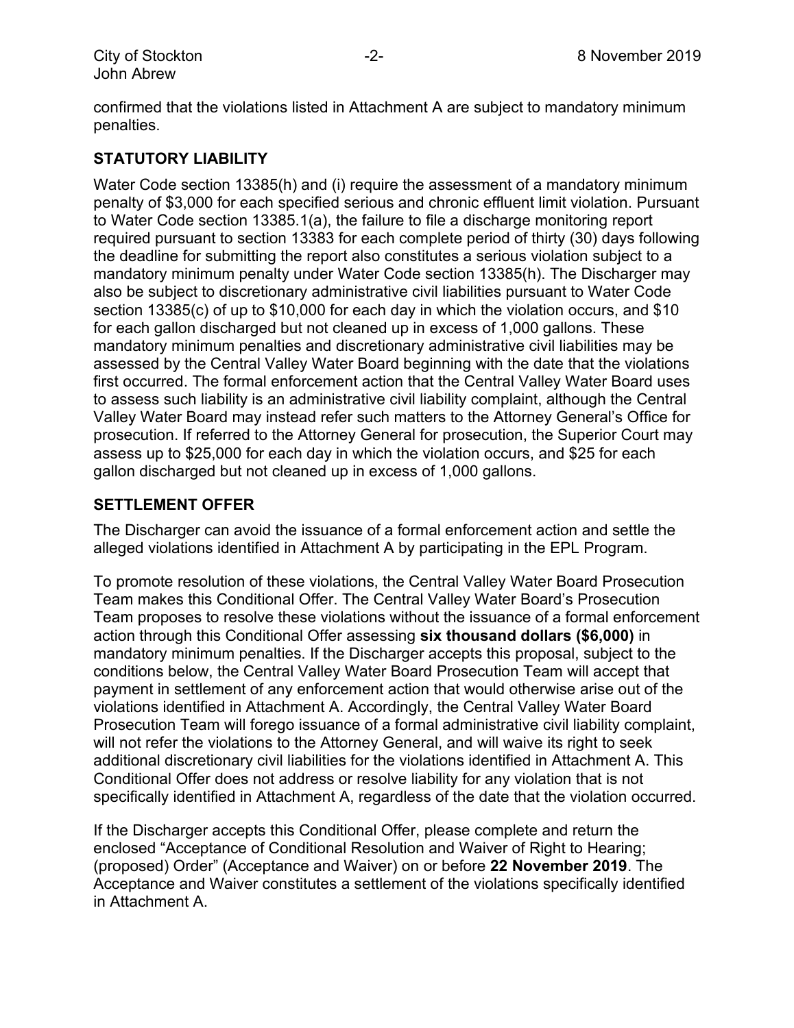confirmed that the violations listed in Attachment A are subject to mandatory minimum penalties.

## **STATUTORY LIABILITY**

Water Code section 13385(h) and (i) require the assessment of a mandatory minimum penalty of \$3,000 for each specified serious and chronic effluent limit violation. Pursuant to Water Code section 13385.1(a), the failure to file a discharge monitoring report required pursuant to section 13383 for each complete period of thirty (30) days following the deadline for submitting the report also constitutes a serious violation subject to a mandatory minimum penalty under Water Code section 13385(h). The Discharger may also be subject to discretionary administrative civil liabilities pursuant to Water Code section 13385(c) of up to \$10,000 for each day in which the violation occurs, and \$10 for each gallon discharged but not cleaned up in excess of 1,000 gallons. These mandatory minimum penalties and discretionary administrative civil liabilities may be assessed by the Central Valley Water Board beginning with the date that the violations first occurred. The formal enforcement action that the Central Valley Water Board uses to assess such liability is an administrative civil liability complaint, although the Central Valley Water Board may instead refer such matters to the Attorney General's Office for prosecution. If referred to the Attorney General for prosecution, the Superior Court may assess up to \$25,000 for each day in which the violation occurs, and \$25 for each gallon discharged but not cleaned up in excess of 1,000 gallons.

#### **SETTLEMENT OFFER**

The Discharger can avoid the issuance of a formal enforcement action and settle the alleged violations identified in Attachment A by participating in the EPL Program.

To promote resolution of these violations, the Central Valley Water Board Prosecution Team makes this Conditional Offer. The Central Valley Water Board's Prosecution Team proposes to resolve these violations without the issuance of a formal enforcement action through this Conditional Offer assessing **six thousand dollars (\$6,000)** in mandatory minimum penalties. If the Discharger accepts this proposal, subject to the conditions below, the Central Valley Water Board Prosecution Team will accept that payment in settlement of any enforcement action that would otherwise arise out of the violations identified in Attachment A. Accordingly, the Central Valley Water Board Prosecution Team will forego issuance of a formal administrative civil liability complaint, will not refer the violations to the Attorney General, and will waive its right to seek additional discretionary civil liabilities for the violations identified in Attachment A. This Conditional Offer does not address or resolve liability for any violation that is not specifically identified in Attachment A, regardless of the date that the violation occurred.

If the Discharger accepts this Conditional Offer, please complete and return the enclosed "Acceptance of Conditional Resolution and Waiver of Right to Hearing; (proposed) Order" (Acceptance and Waiver) on or before **22 November 2019**. The Acceptance and Waiver constitutes a settlement of the violations specifically identified in Attachment A.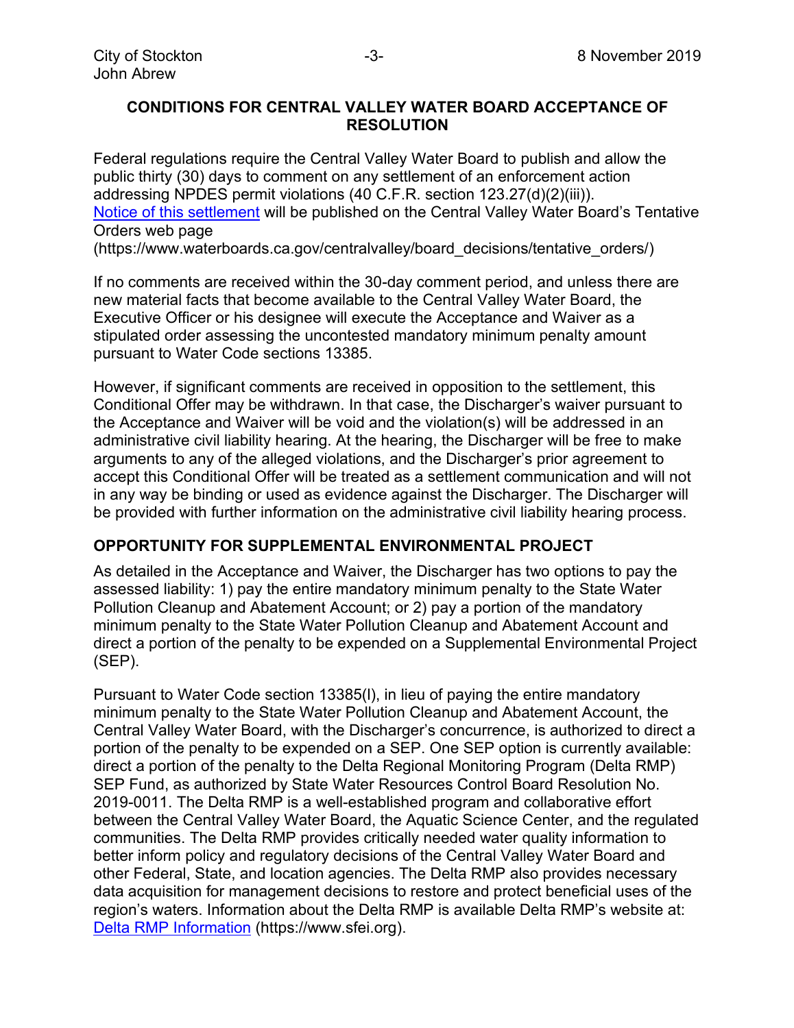#### **CONDITIONS FOR CENTRAL VALLEY WATER BOARD ACCEPTANCE OF RESOLUTION**

Federal regulations require the Central Valley Water Board to publish and allow the public thirty (30) days to comment on any settlement of an enforcement action addressing NPDES permit violations (40 C.F.R. section 123.27(d)(2)(iii)). [Notice of this settlement](https://www.waterboards.ca.gov/centralvalley/board_decisions/tentative_orders/1912/) will be published on the Central Valley Water Board's Tentative Orders web page

(https://www.waterboards.ca.gov/centralvalley/board\_decisions/tentative\_orders/)

If no comments are received within the 30-day comment period, and unless there are new material facts that become available to the Central Valley Water Board, the Executive Officer or his designee will execute the Acceptance and Waiver as a stipulated order assessing the uncontested mandatory minimum penalty amount pursuant to Water Code sections 13385.

However, if significant comments are received in opposition to the settlement, this Conditional Offer may be withdrawn. In that case, the Discharger's waiver pursuant to the Acceptance and Waiver will be void and the violation(s) will be addressed in an administrative civil liability hearing. At the hearing, the Discharger will be free to make arguments to any of the alleged violations, and the Discharger's prior agreement to accept this Conditional Offer will be treated as a settlement communication and will not in any way be binding or used as evidence against the Discharger. The Discharger will be provided with further information on the administrative civil liability hearing process.

#### **OPPORTUNITY FOR SUPPLEMENTAL ENVIRONMENTAL PROJECT**

As detailed in the Acceptance and Waiver, the Discharger has two options to pay the assessed liability: 1) pay the entire mandatory minimum penalty to the State Water Pollution Cleanup and Abatement Account; or 2) pay a portion of the mandatory minimum penalty to the State Water Pollution Cleanup and Abatement Account and direct a portion of the penalty to be expended on a Supplemental Environmental Project (SEP).

Pursuant to Water Code section 13385(l), in lieu of paying the entire mandatory minimum penalty to the State Water Pollution Cleanup and Abatement Account, the Central Valley Water Board, with the Discharger's concurrence, is authorized to direct a portion of the penalty to be expended on a SEP. One SEP option is currently available: direct a portion of the penalty to the Delta Regional Monitoring Program (Delta RMP) SEP Fund, as authorized by State Water Resources Control Board Resolution No. 2019-0011. The Delta RMP is a well-established program and collaborative effort between the Central Valley Water Board, the Aquatic Science Center, and the regulated communities. The Delta RMP provides critically needed water quality information to better inform policy and regulatory decisions of the Central Valley Water Board and other Federal, State, and location agencies. The Delta RMP also provides necessary data acquisition for management decisions to restore and protect beneficial uses of the region's waters. Information about the Delta RMP is available Delta RMP's website at: [Delta RMP Information](C:\Users\twestphal\AppData\Local\Microsoft\Windows\INetCache\Content.Outlook\MAAOF8F3\Delta RMP Information) (https://www.sfei.org).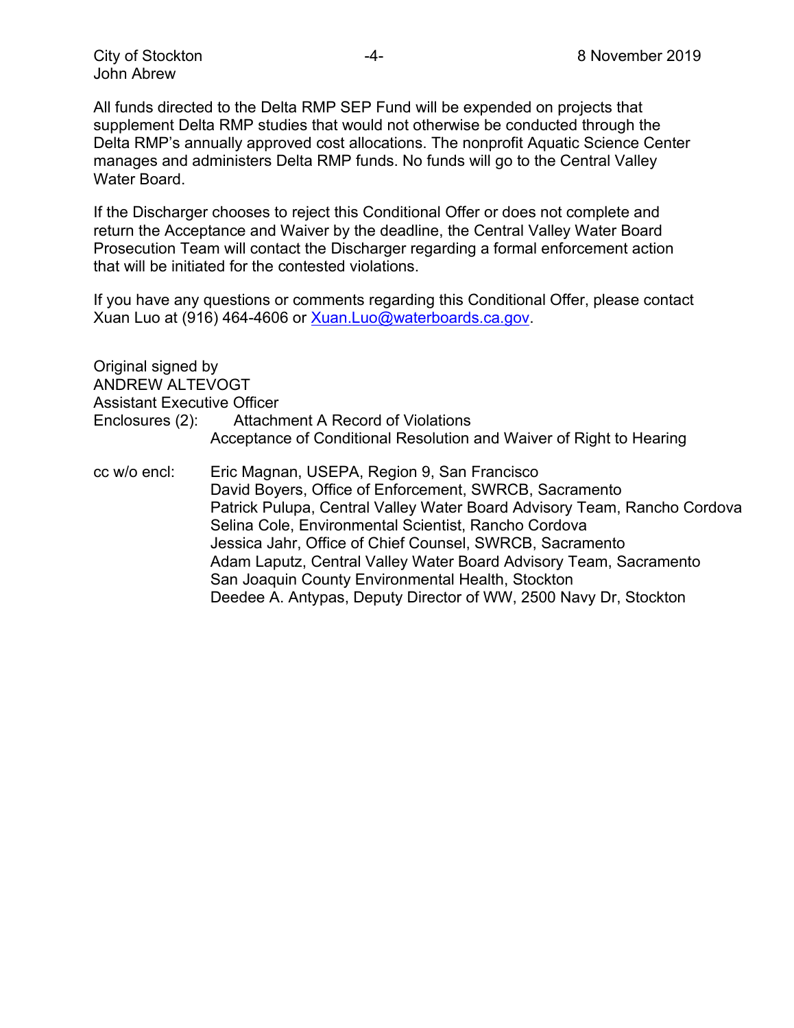All funds directed to the Delta RMP SEP Fund will be expended on projects that supplement Delta RMP studies that would not otherwise be conducted through the Delta RMP's annually approved cost allocations. The nonprofit Aquatic Science Center manages and administers Delta RMP funds. No funds will go to the Central Valley Water Board.

If the Discharger chooses to reject this Conditional Offer or does not complete and return the Acceptance and Waiver by the deadline, the Central Valley Water Board Prosecution Team will contact the Discharger regarding a formal enforcement action that will be initiated for the contested violations.

If you have any questions or comments regarding this Conditional Offer, please contact Xuan Luo at (916) 464-4606 or [Xuan.Luo@waterboards.ca.gov.](mailto:Xuan.Luo@waterboards.ca.gov)

Original signed by ANDREW ALTEVOGT Assistant Executive Officer Enclosures (2): Attachment A Record of Violations Acceptance of Conditional Resolution and Waiver of Right to Hearing

cc w/o encl: Eric Magnan, USEPA, Region 9, San Francisco David Boyers, Office of Enforcement, SWRCB, Sacramento Patrick Pulupa, Central Valley Water Board Advisory Team, Rancho Cordova Selina Cole, Environmental Scientist, Rancho Cordova Jessica Jahr, Office of Chief Counsel, SWRCB, Sacramento Adam Laputz, Central Valley Water Board Advisory Team, Sacramento San Joaquin County Environmental Health, Stockton Deedee A. Antypas, Deputy Director of WW, 2500 Navy Dr, Stockton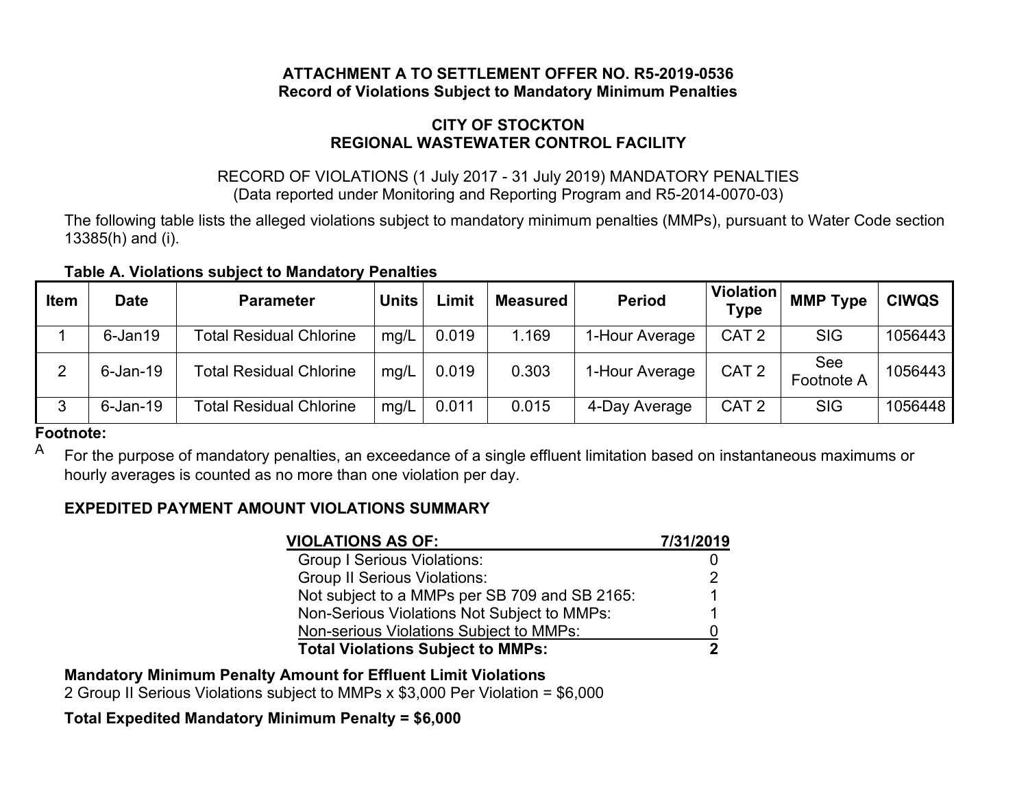## **ATTACHMENT A TO SETTLEMENT OFFER NO. R5-2019-0536 Record of Violations Subject to Mandatory Minimum Penalties**

## **CITY OF STOCKTON REGIONAL WASTEWATER CONTROL FACILITY**

## RECORD OF VIOLATIONS (1 July 2017 - 31 July 2019) MANDATORY PENALTIES (Data reported under Monitoring and Reporting Program and R5-2014-0070-03)

The following table lists the alleged violations subject to mandatory minimum penalties (MMPs), pursuant to Water Code section 13385(h) and (i).

| Table A. Violations subject to Mandatory Penalties |  |  |  |
|----------------------------------------------------|--|--|--|
|----------------------------------------------------|--|--|--|

| <b>Item</b> | <b>Date</b> | <b>Parameter</b>               | Units | Limit | <b>Measured</b> | <b>Period</b>  | <b>Violation</b><br><b>Type</b> | <b>MMP Type</b>   | <b>CIWQS</b> |
|-------------|-------------|--------------------------------|-------|-------|-----------------|----------------|---------------------------------|-------------------|--------------|
|             | $6$ -Jan19  | <b>Total Residual Chlorine</b> | mg/L  | 0.019 | 1.169           | 1-Hour Average | CAT <sub>2</sub>                | <b>SIG</b>        | 1056443      |
| ◠           | $6$ -Jan-19 | <b>Total Residual Chlorine</b> | mg/L  | 0.019 | 0.303           | 1-Hour Average | CAT <sub>2</sub>                | See<br>Footnote A | 1056443      |
| 3           | $6$ -Jan-19 | <b>Total Residual Chlorine</b> | mg/L  | 0.011 | 0.015           | 4-Day Average  | CAT <sub>2</sub>                | <b>SIG</b>        | 1056448      |

#### **Footnote:**

A For the purpose of mandatory penalties, an exceedance of a single effluent limitation based on instantaneous maximums or hourly averages is counted as no more than one violation per day.

## **EXPEDITED PAYMENT AMOUNT VIOLATIONS SUMMARY**

| <b>VIOLATIONS AS OF:</b>                      | 7/31/2019 |
|-----------------------------------------------|-----------|
| <b>Group I Serious Violations:</b>            |           |
| <b>Group II Serious Violations:</b>           | 2         |
| Not subject to a MMPs per SB 709 and SB 2165: |           |
| Non-Serious Violations Not Subject to MMPs:   |           |
| Non-serious Violations Subject to MMPs:       |           |
| <b>Total Violations Subject to MMPs:</b>      |           |

**Mandatory Minimum Penalty Amount for Effluent Limit Violations**

2 Group II Serious Violations subject to MMPs x \$3,000 Per Violation = \$6,000

## **Total Expedited Mandatory Minimum Penalty = \$6,000**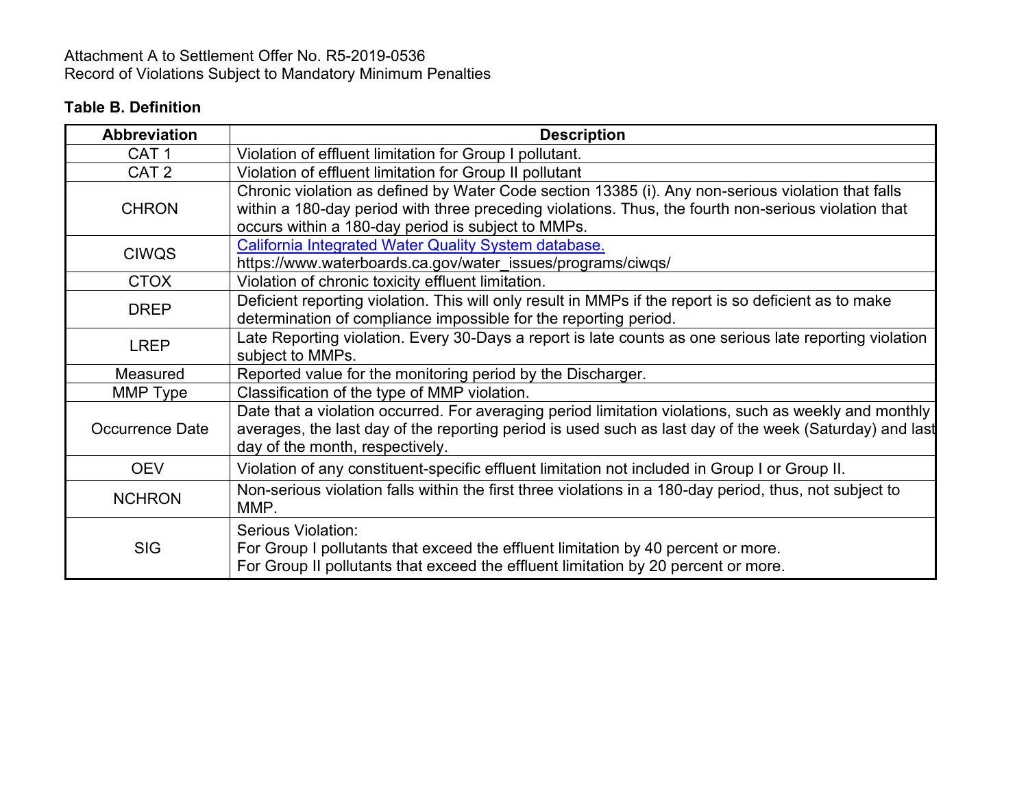## Attachment A to Settlement Offer No. R5-2019-0536 Record of Violations Subject to Mandatory Minimum Penalties

## **Table B. Definition**

| <b>Abbreviation</b>    | <b>Description</b>                                                                                                                                                                                                                                               |
|------------------------|------------------------------------------------------------------------------------------------------------------------------------------------------------------------------------------------------------------------------------------------------------------|
| CAT <sub>1</sub>       | Violation of effluent limitation for Group I pollutant.                                                                                                                                                                                                          |
| CAT <sub>2</sub>       | Violation of effluent limitation for Group II pollutant                                                                                                                                                                                                          |
| <b>CHRON</b>           | Chronic violation as defined by Water Code section 13385 (i). Any non-serious violation that falls<br>within a 180-day period with three preceding violations. Thus, the fourth non-serious violation that<br>occurs within a 180-day period is subject to MMPs. |
| <b>CIWQS</b>           | California Integrated Water Quality System database.<br>https://www.waterboards.ca.gov/water_issues/programs/ciwqs/                                                                                                                                              |
| <b>CTOX</b>            | Violation of chronic toxicity effluent limitation.                                                                                                                                                                                                               |
| <b>DREP</b>            | Deficient reporting violation. This will only result in MMPs if the report is so deficient as to make<br>determination of compliance impossible for the reporting period.                                                                                        |
| <b>LREP</b>            | Late Reporting violation. Every 30-Days a report is late counts as one serious late reporting violation<br>subject to MMPs.                                                                                                                                      |
| Measured               | Reported value for the monitoring period by the Discharger.                                                                                                                                                                                                      |
| MMP Type               | Classification of the type of MMP violation.                                                                                                                                                                                                                     |
| <b>Occurrence Date</b> | Date that a violation occurred. For averaging period limitation violations, such as weekly and monthly<br>averages, the last day of the reporting period is used such as last day of the week (Saturday) and last<br>day of the month, respectively.             |
| <b>OEV</b>             | Violation of any constituent-specific effluent limitation not included in Group I or Group II.                                                                                                                                                                   |
| <b>NCHRON</b>          | Non-serious violation falls within the first three violations in a 180-day period, thus, not subject to<br>MMP.                                                                                                                                                  |
| <b>SIG</b>             | Serious Violation:<br>For Group I pollutants that exceed the effluent limitation by 40 percent or more.<br>For Group II pollutants that exceed the effluent limitation by 20 percent or more.                                                                    |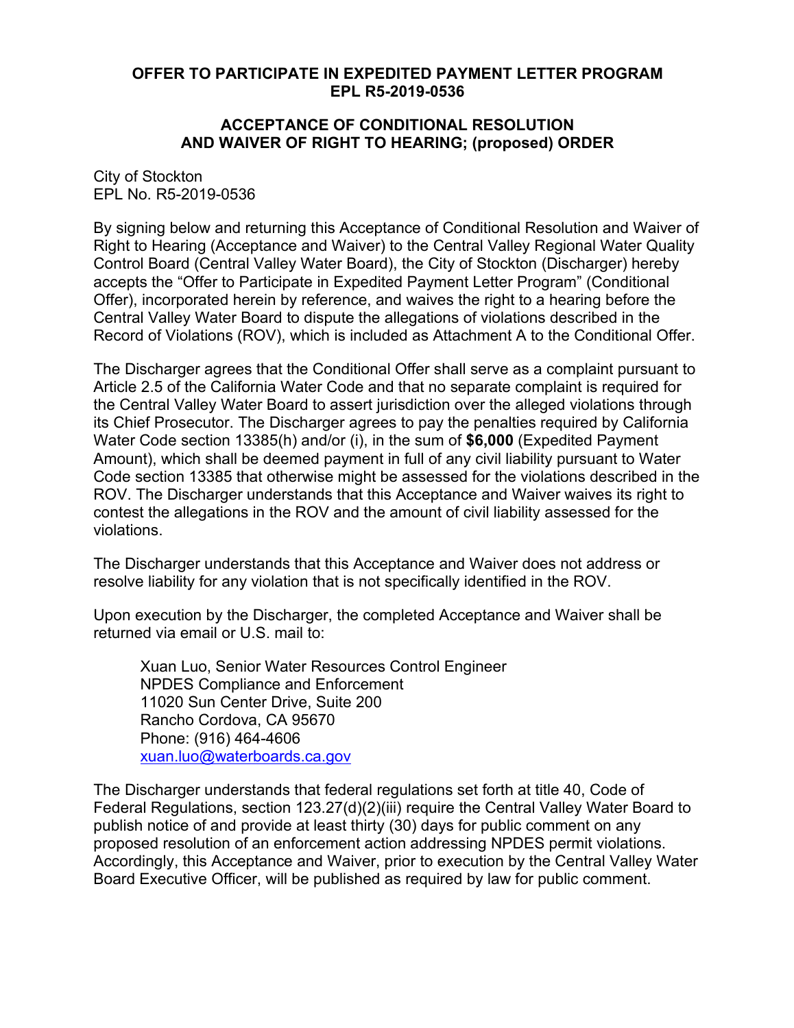### **OFFER TO PARTICIPATE IN EXPEDITED PAYMENT LETTER PROGRAM EPL R5-2019-0536**

#### **ACCEPTANCE OF CONDITIONAL RESOLUTION AND WAIVER OF RIGHT TO HEARING; (proposed) ORDER**

City of Stockton EPL No. R5-2019-0536

By signing below and returning this Acceptance of Conditional Resolution and Waiver of Right to Hearing (Acceptance and Waiver) to the Central Valley Regional Water Quality Control Board (Central Valley Water Board), the City of Stockton (Discharger) hereby accepts the "Offer to Participate in Expedited Payment Letter Program" (Conditional Offer), incorporated herein by reference, and waives the right to a hearing before the Central Valley Water Board to dispute the allegations of violations described in the Record of Violations (ROV), which is included as Attachment A to the Conditional Offer.

The Discharger agrees that the Conditional Offer shall serve as a complaint pursuant to Article 2.5 of the California Water Code and that no separate complaint is required for the Central Valley Water Board to assert jurisdiction over the alleged violations through its Chief Prosecutor. The Discharger agrees to pay the penalties required by California Water Code section 13385(h) and/or (i), in the sum of **\$6,000** (Expedited Payment Amount), which shall be deemed payment in full of any civil liability pursuant to Water Code section 13385 that otherwise might be assessed for the violations described in the ROV. The Discharger understands that this Acceptance and Waiver waives its right to contest the allegations in the ROV and the amount of civil liability assessed for the violations.

The Discharger understands that this Acceptance and Waiver does not address or resolve liability for any violation that is not specifically identified in the ROV.

Upon execution by the Discharger, the completed Acceptance and Waiver shall be returned via email or U.S. mail to:

Xuan Luo, Senior Water Resources Control Engineer NPDES Compliance and Enforcement 11020 Sun Center Drive, Suite 200 Rancho Cordova, CA 95670 Phone: (916) 464-4606 [xuan.luo@waterboards.ca.gov](mailto:xuan.luo@waterboards.ca.gov)

The Discharger understands that federal regulations set forth at title 40, Code of Federal Regulations, section 123.27(d)(2)(iii) require the Central Valley Water Board to publish notice of and provide at least thirty (30) days for public comment on any proposed resolution of an enforcement action addressing NPDES permit violations. Accordingly, this Acceptance and Waiver, prior to execution by the Central Valley Water Board Executive Officer, will be published as required by law for public comment.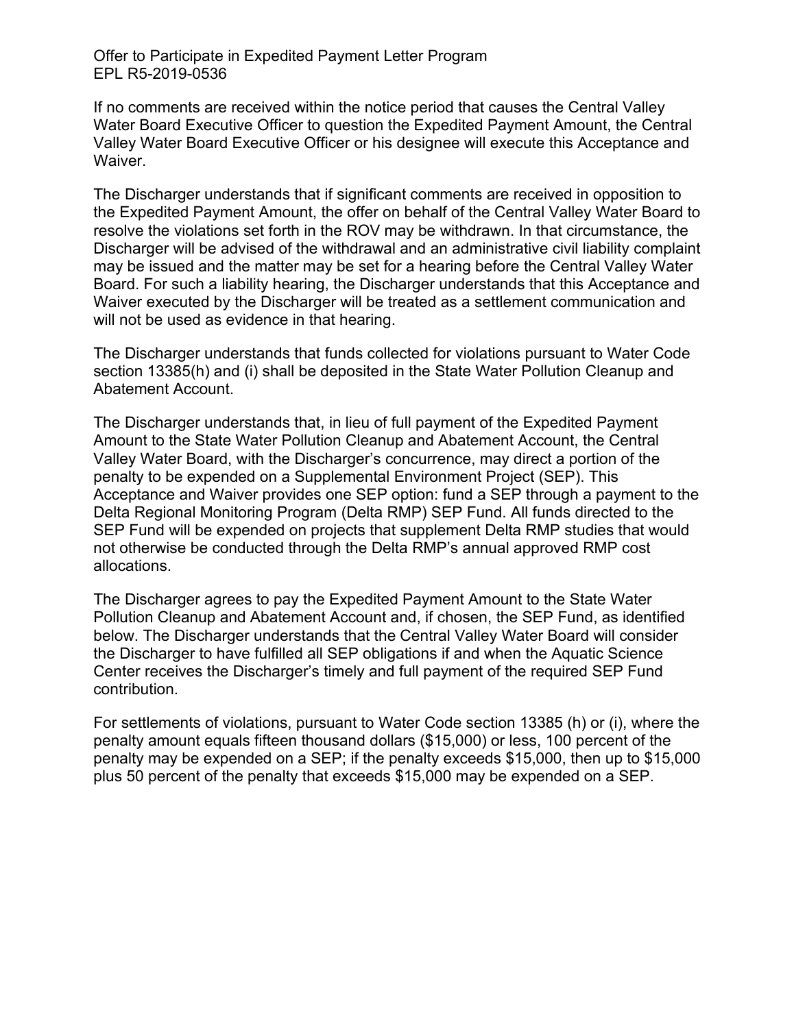Offer to Participate in Expedited Payment Letter Program EPL R5-2019-0536

If no comments are received within the notice period that causes the Central Valley Water Board Executive Officer to question the Expedited Payment Amount, the Central Valley Water Board Executive Officer or his designee will execute this Acceptance and Waiver.

The Discharger understands that if significant comments are received in opposition to the Expedited Payment Amount, the offer on behalf of the Central Valley Water Board to resolve the violations set forth in the ROV may be withdrawn. In that circumstance, the Discharger will be advised of the withdrawal and an administrative civil liability complaint may be issued and the matter may be set for a hearing before the Central Valley Water Board. For such a liability hearing, the Discharger understands that this Acceptance and Waiver executed by the Discharger will be treated as a settlement communication and will not be used as evidence in that hearing.

The Discharger understands that funds collected for violations pursuant to Water Code section 13385(h) and (i) shall be deposited in the State Water Pollution Cleanup and Abatement Account.

The Discharger understands that, in lieu of full payment of the Expedited Payment Amount to the State Water Pollution Cleanup and Abatement Account, the Central Valley Water Board, with the Discharger's concurrence, may direct a portion of the penalty to be expended on a Supplemental Environment Project (SEP). This Acceptance and Waiver provides one SEP option: fund a SEP through a payment to the Delta Regional Monitoring Program (Delta RMP) SEP Fund. All funds directed to the SEP Fund will be expended on projects that supplement Delta RMP studies that would not otherwise be conducted through the Delta RMP's annual approved RMP cost allocations.

The Discharger agrees to pay the Expedited Payment Amount to the State Water Pollution Cleanup and Abatement Account and, if chosen, the SEP Fund, as identified below. The Discharger understands that the Central Valley Water Board will consider the Discharger to have fulfilled all SEP obligations if and when the Aquatic Science Center receives the Discharger's timely and full payment of the required SEP Fund contribution.

For settlements of violations, pursuant to Water Code section 13385 (h) or (i), where the penalty amount equals fifteen thousand dollars (\$15,000) or less, 100 percent of the penalty may be expended on a SEP; if the penalty exceeds \$15,000, then up to \$15,000 plus 50 percent of the penalty that exceeds \$15,000 may be expended on a SEP.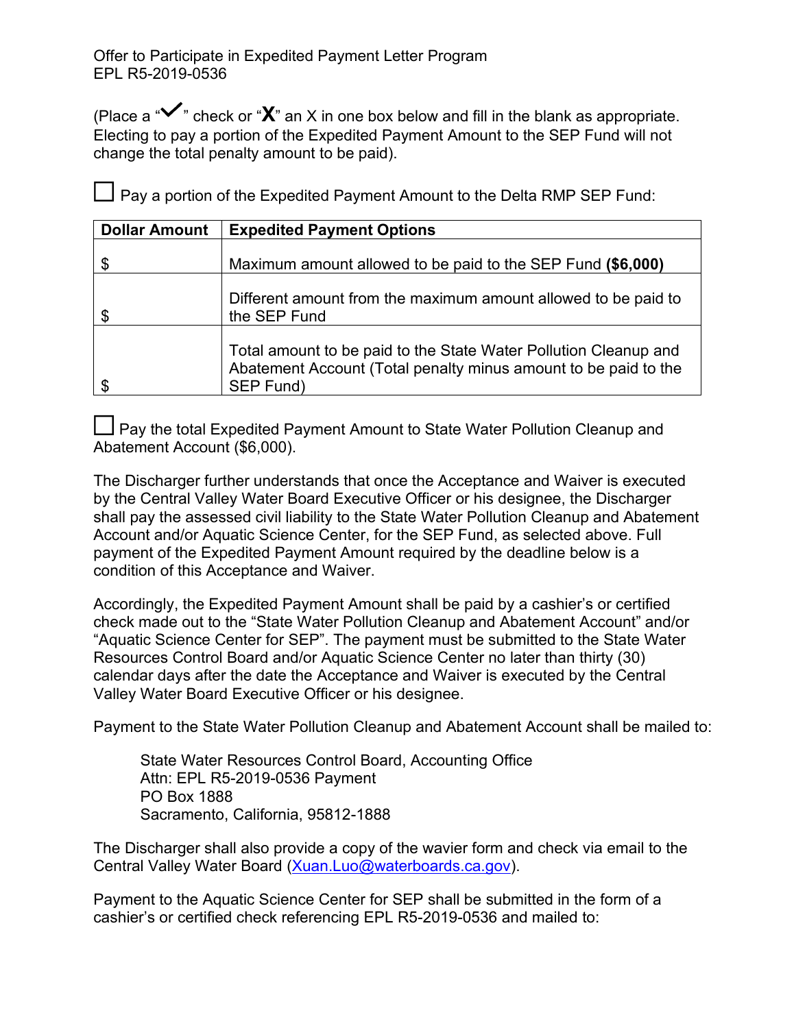(Place a "**V**" check or "**X**" an X in one box below and fill in the blank as appropriate. Electing to pay a portion of the Expedited Payment Amount to the SEP Fund will not change the total penalty amount to be paid).

 $\Box$  Pay a portion of the Expedited Payment Amount to the Delta RMP SEP Fund:

| <b>Dollar Amount</b> | <b>Expedited Payment Options</b>                                                                                                                 |
|----------------------|--------------------------------------------------------------------------------------------------------------------------------------------------|
| \$                   | Maximum amount allowed to be paid to the SEP Fund (\$6,000)                                                                                      |
| \$                   | Different amount from the maximum amount allowed to be paid to<br>the SEP Fund                                                                   |
| \$                   | Total amount to be paid to the State Water Pollution Cleanup and<br>Abatement Account (Total penalty minus amount to be paid to the<br>SEP Fund) |

Pay the total Expedited Payment Amount to State Water Pollution Cleanup and Abatement Account (\$6,000).

The Discharger further understands that once the Acceptance and Waiver is executed by the Central Valley Water Board Executive Officer or his designee, the Discharger shall pay the assessed civil liability to the State Water Pollution Cleanup and Abatement Account and/or Aquatic Science Center, for the SEP Fund, as selected above. Full payment of the Expedited Payment Amount required by the deadline below is a condition of this Acceptance and Waiver.

Accordingly, the Expedited Payment Amount shall be paid by a cashier's or certified check made out to the "State Water Pollution Cleanup and Abatement Account" and/or "Aquatic Science Center for SEP". The payment must be submitted to the State Water Resources Control Board and/or Aquatic Science Center no later than thirty (30) calendar days after the date the Acceptance and Waiver is executed by the Central Valley Water Board Executive Officer or his designee.

Payment to the State Water Pollution Cleanup and Abatement Account shall be mailed to:

State Water Resources Control Board, Accounting Office Attn: EPL R5-2019-0536 Payment PO Box 1888 Sacramento, California, 95812-1888

The Discharger shall also provide a copy of the wavier form and check via email to the Central Valley Water Board ([Xuan.Luo@waterboards.ca.gov](mailto:Xuan.Luo@waterboards.ca.gov)).

Payment to the Aquatic Science Center for SEP shall be submitted in the form of a cashier's or certified check referencing EPL R5-2019-0536 and mailed to: